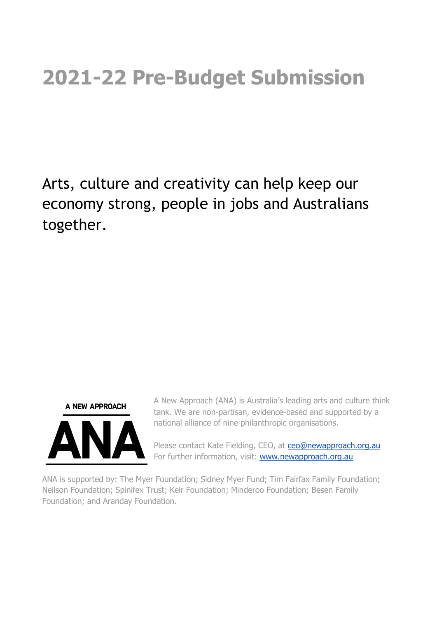# **2021-22 Pre-Budget Submission**

Arts, culture and creativity can help keep our economy strong, people in jobs and Australians together.



A New Approach (ANA) is Australia's leading arts and culture think tank. We are non-partisan, evidence-based and supported by a national alliance of nine philanthropic organisations.

Please contact Kate Fielding, CEO, at [ceo@newapproach.org.au](mailto:ceo@newapproach.org.au) For further information, visit: [www.newapproach.org.au](http://www.newapproach.org.au/)

ANA is supported by: The Myer Foundation; Sidney Myer Fund; Tim Fairfax Family Foundation; Neilson Foundation; Spinifex Trust; Keir Foundation; Minderoo Foundation; Besen Family Foundation; and Aranday Foundation.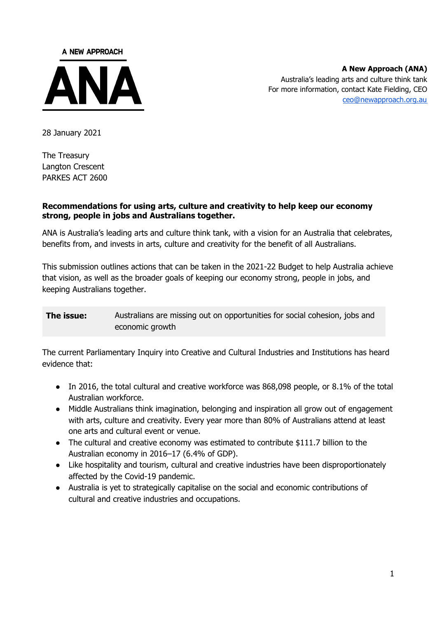

**A New Approach (ANA)** Australia's leading arts and culture think tank For more information, contact Kate Fielding, CEO [ceo@newapproach.org.au](mailto:ceo@newapproach.org.au)

28 January 2021

The Treasury Langton Crescent PARKES ACT 2600

#### **Recommendations for using arts, culture and creativity to help keep our economy strong, people in jobs and Australians together.**

ANA is Australia's leading arts and culture think tank, with a vision for an Australia that celebrates, benefits from, and invests in arts, culture and creativity for the benefit of all Australians.

This submission outlines actions that can be taken in the 2021-22 Budget to help Australia achieve that vision, as well as the broader goals of keeping our economy strong, people in jobs, and keeping Australians together.

**The issue:** Australians are missing out on opportunities for social cohesion, jobs and economic growth

The current Parliamentary Inquiry into Creative and Cultural Industries and Institutions has heard evidence that:

- In 2016, the total cultural and creative workforce was 868,098 people, or 8.1% of the total Australian workforce.
- Middle Australians think imagination, belonging and inspiration all grow out of engagement with arts, culture and creativity. Every year more than 80% of Australians attend at least one arts and cultural event or venue.
- The cultural and creative economy was estimated to contribute \$111.7 billion to the Australian economy in 2016–17 (6.4% of GDP).
- Like hospitality and tourism, cultural and creative industries have been disproportionately affected by the Covid-19 pandemic.
- Australia is yet to strategically capitalise on the social and economic contributions of cultural and creative industries and occupations.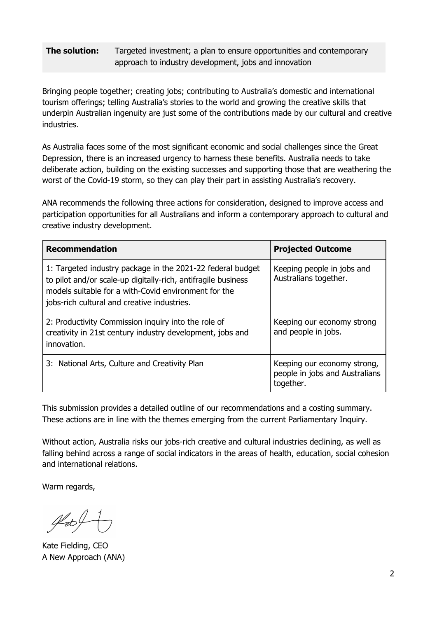### **The solution:** Targeted investment; a plan to ensure opportunities and contemporary approach to industry development, jobs and innovation

Bringing people together; creating jobs; contributing to Australia's domestic and international tourism offerings; telling Australia's stories to the world and growing the creative skills that underpin Australian ingenuity are just some of the contributions made by our cultural and creative industries.

As Australia faces some of the most significant economic and social challenges since the Great Depression, there is an increased urgency to harness these benefits. Australia needs to take deliberate action, building on the existing successes and supporting those that are weathering the worst of the Covid-19 storm, so they can play their part in assisting Australia's recovery.

ANA recommends the following three actions for consideration, designed to improve access and participation opportunities for all Australians and inform a contemporary approach to cultural and creative industry development.

| <b>Recommendation</b>                                                                                                                                                                                                              | <b>Projected Outcome</b>                                                   |  |  |
|------------------------------------------------------------------------------------------------------------------------------------------------------------------------------------------------------------------------------------|----------------------------------------------------------------------------|--|--|
| 1: Targeted industry package in the 2021-22 federal budget<br>to pilot and/or scale-up digitally-rich, antifragile business<br>models suitable for a with-Covid environment for the<br>jobs-rich cultural and creative industries. | Keeping people in jobs and<br>Australians together.                        |  |  |
| 2: Productivity Commission inquiry into the role of<br>creativity in 21st century industry development, jobs and<br>innovation.                                                                                                    | Keeping our economy strong<br>and people in jobs.                          |  |  |
| 3: National Arts, Culture and Creativity Plan                                                                                                                                                                                      | Keeping our economy strong,<br>people in jobs and Australians<br>together. |  |  |

This submission provides a detailed outline of our recommendations and a costing summary. These actions are in line with the themes emerging from the current Parliamentary Inquiry.

Without action, Australia risks our jobs-rich creative and cultural industries declining, as well as falling behind across a range of social indicators in the areas of health, education, social cohesion and international relations.

Warm regards,

 $454$ 

Kate Fielding, CEO A New Approach (ANA)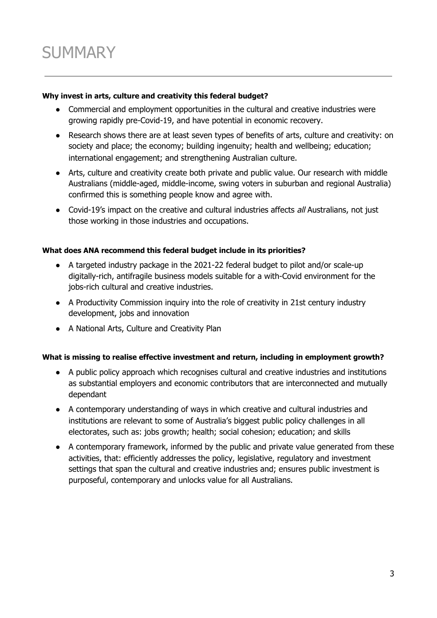#### **Why invest in arts, culture and creativity this federal budget?**

- Commercial and employment opportunities in the cultural and creative industries were growing rapidly pre-Covid-19, and have potential in economic recovery.
- Research shows there are at least seven types of benefits of arts, culture and creativity: on society and place; the economy; building ingenuity; health and wellbeing; education; international engagement; and strengthening Australian culture.
- Arts, culture and creativity create both private and public value. Our research with middle Australians (middle-aged, middle-income, swing voters in suburban and regional Australia) confirmed this is something people know and agree with.
- Covid-19's impact on the creative and cultural industries affects all Australians, not just those working in those industries and occupations.

### **What does ANA recommend this federal budget include in its priorities?**

- A targeted industry package in the 2021-22 federal budget to pilot and/or scale-up digitally-rich, antifragile business models suitable for a with-Covid environment for the jobs-rich cultural and creative industries.
- A Productivity Commission inquiry into the role of creativity in 21st century industry development, jobs and innovation
- A National Arts, Culture and Creativity Plan

#### **What is missing to realise effective investment and return, including in employment growth?**

- A public policy approach which recognises cultural and creative industries and institutions as substantial employers and economic contributors that are interconnected and mutually dependant
- A contemporary understanding of ways in which creative and cultural industries and institutions are relevant to some of Australia's biggest public policy challenges in all electorates, such as: jobs growth; health; social cohesion; education; and skills
- A contemporary framework, informed by the public and private value generated from these activities, that: efficiently addresses the policy, legislative, regulatory and investment settings that span the cultural and creative industries and; ensures public investment is purposeful, contemporary and unlocks value for all Australians.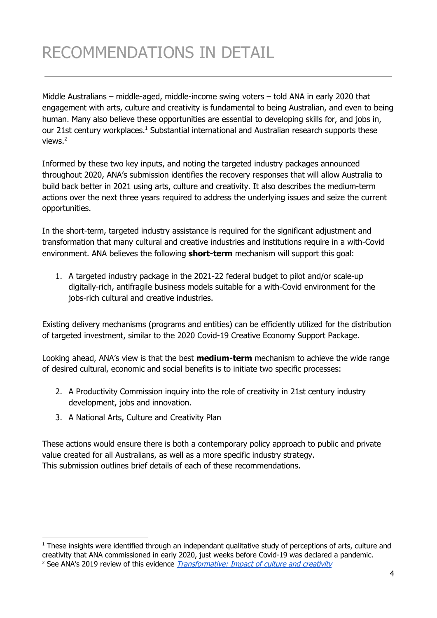## RECOMMENDATIONS IN DETAIL

Middle Australians – middle-aged, middle-income swing voters – told ANA in early 2020 that engagement with arts, culture and creativity is fundamental to being Australian, and even to being human. Many also believe these opportunities are essential to developing skills for, and jobs in, our 21st century workplaces.<sup>1</sup> Substantial international and Australian research supports these views. 2

Informed by these two key inputs, and noting the targeted industry packages announced throughout 2020, ANA's submission identifies the recovery responses that will allow Australia to build back better in 2021 using arts, culture and creativity. It also describes the medium-term actions over the next three years required to address the underlying issues and seize the current opportunities.

In the short-term, targeted industry assistance is required for the significant adjustment and transformation that many cultural and creative industries and institutions require in a with-Covid environment. ANA believes the following **short-term** mechanism will support this goal:

1. A targeted industry package in the 2021-22 federal budget to pilot and/or scale-up digitally-rich, antifragile business models suitable for a with-Covid environment for the jobs-rich cultural and creative industries.

Existing delivery mechanisms (programs and entities) can be efficiently utilized for the distribution of targeted investment, similar to the 2020 Covid-19 Creative Economy Support Package.

Looking ahead, ANA's view is that the best **medium-term** mechanism to achieve the wide range of desired cultural, economic and social benefits is to initiate two specific processes:

- 2. A Productivity Commission inquiry into the role of creativity in 21st century industry development, jobs and innovation.
- 3. A National Arts, Culture and Creativity Plan

These actions would ensure there is both a contemporary policy approach to public and private value created for all Australians, as well as a more specific industry strategy. This submission outlines brief details of each of these recommendations.

 $1$  These insights were identified through an independant qualitative study of perceptions of arts, culture and creativity that ANA commissioned in early 2020, just weeks before Covid-19 was declared a pandemic.

<sup>&</sup>lt;sup>2</sup> See ANA's 2019 review of this evidence *[Transformative:](https://newapproach.org.au/transformative-report-2/) Impact of culture and creativity*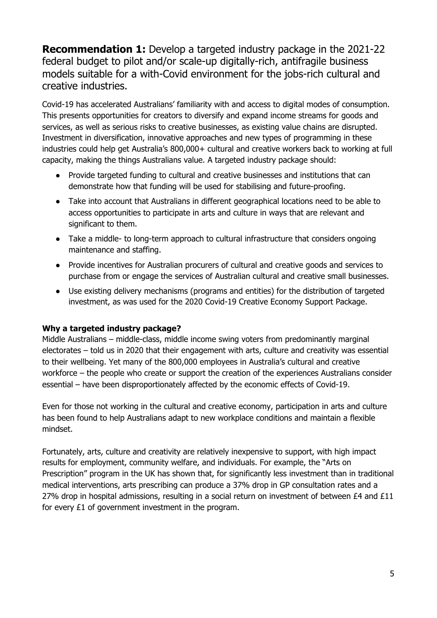**Recommendation 1:** Develop a targeted industry package in the 2021-22 federal budget to pilot and/or scale-up digitally-rich, antifragile business models suitable for a with-Covid environment for the jobs-rich cultural and creative industries.

Covid-19 has accelerated Australians' familiarity with and access to digital modes of consumption. This presents opportunities for creators to diversify and expand income streams for goods and services, as well as serious risks to creative businesses, as existing value chains are disrupted. Investment in diversification, innovative approaches and new types of programming in these industries could help get Australia's 800,000+ cultural and creative workers back to working at full capacity, making the things Australians value. A targeted industry package should:

- Provide targeted funding to cultural and creative businesses and institutions that can demonstrate how that funding will be used for stabilising and future-proofing.
- Take into account that Australians in different geographical locations need to be able to access opportunities to participate in arts and culture in ways that are relevant and significant to them.
- Take a middle- to long-term approach to cultural infrastructure that considers ongoing maintenance and staffing.
- Provide incentives for Australian procurers of cultural and creative goods and services to purchase from or engage the services of Australian cultural and creative small businesses.
- Use existing delivery mechanisms (programs and entities) for the distribution of targeted investment, as was used for the 2020 Covid-19 Creative Economy Support Package.

## **Why a targeted industry package?**

Middle Australians – middle-class, middle income swing voters from predominantly marginal electorates – told us in 2020 that their engagement with arts, culture and creativity was essential to their wellbeing. Yet many of the 800,000 employees in Australia's cultural and creative workforce – the people who create or support the creation of the experiences Australians consider essential – have been disproportionately affected by the economic effects of Covid-19.

Even for those not working in the cultural and creative economy, participation in arts and culture has been found to help Australians adapt to new workplace conditions and maintain a flexible mindset.

Fortunately, arts, culture and creativity are relatively inexpensive to support, with high impact results for employment, community welfare, and individuals. For example, the "Arts on Prescription" program in the UK has shown that, for significantly less investment than in traditional medical interventions, arts prescribing can produce a 37% drop in GP consultation rates and a 27% drop in hospital admissions, resulting in a social return on investment of between £4 and £11 for every £1 of government investment in the program.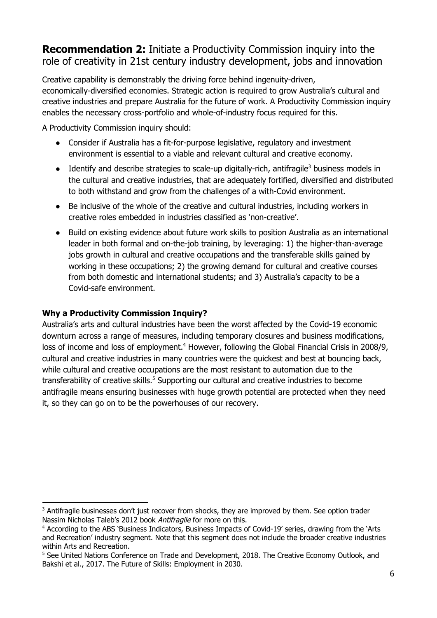## **Recommendation 2:** Initiate a Productivity Commission inquiry into the role of creativity in 21st century industry development, jobs and innovation

Creative capability is demonstrably the driving force behind ingenuity-driven, economically-diversified economies. Strategic action is required to grow Australia's cultural and creative industries and prepare Australia for the future of work. A Productivity Commission inquiry enables the necessary cross-portfolio and whole-of-industry focus required for this.

A Productivity Commission inquiry should:

- Consider if Australia has a fit-for-purpose legislative, regulatory and investment environment is essential to a viable and relevant cultural and creative economy.
- Identify and describe strategies to scale-up digitally-rich, antifragile<sup>3</sup> business models in the cultural and creative industries, that are adequately fortified, diversified and distributed to both withstand and grow from the challenges of a with-Covid environment.
- Be inclusive of the whole of the creative and cultural industries, including workers in creative roles embedded in industries classified as 'non-creative'.
- Build on existing evidence about future work skills to position Australia as an international leader in both formal and on-the-job training, by leveraging: 1) the higher-than-average jobs growth in cultural and creative occupations and the transferable skills gained by working in these occupations; 2) the growing demand for cultural and creative courses from both domestic and international students; and 3) Australia's capacity to be a Covid-safe environment.

## **Why a Productivity Commission Inquiry?**

Australia's arts and cultural industries have been the worst affected by the Covid-19 economic downturn across a range of measures, including temporary closures and business modifications, loss of income and loss of employment.<sup>4</sup> However, following the Global Financial Crisis in 2008/9, cultural and creative industries in many countries were the quickest and best at bouncing back, while cultural and creative occupations are the most resistant to automation due to the transferability of creative skills.<sup>5</sup> Supporting our cultural and creative industries to become antifragile means ensuring businesses with huge growth potential are protected when they need it, so they can go on to be the powerhouses of our recovery.

<sup>&</sup>lt;sup>3</sup> Antifragile businesses don't just recover from shocks, they are improved by them. See option trader Nassim Nicholas Taleb's 2012 book Antifragile for more on this.

<sup>&</sup>lt;sup>4</sup> According to the ABS 'Business Indicators, Business Impacts of Covid-19' series, drawing from the 'Arts and Recreation' industry segment. Note that this segment does not include the broader creative industries within Arts and Recreation.

<sup>&</sup>lt;sup>5</sup> See United Nations Conference on Trade and Development, 2018. The Creative Economy Outlook, and Bakshi et al., 2017. The Future of Skills: Employment in 2030.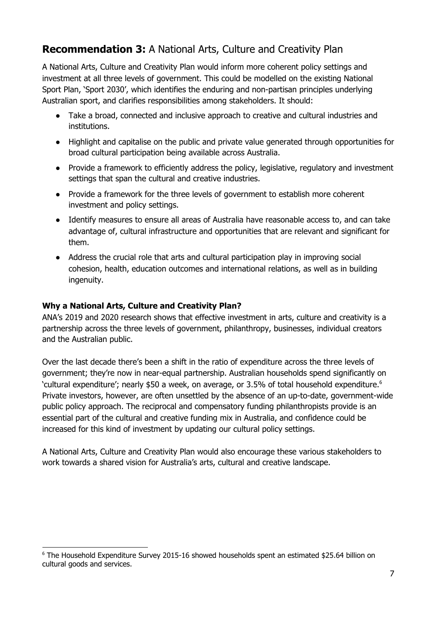## **Recommendation 3:** A National Arts, Culture and Creativity Plan

A National Arts, Culture and Creativity Plan would inform more coherent policy settings and investment at all three levels of government. This could be modelled on the existing National Sport Plan, 'Sport 2030', which identifies the enduring and non-partisan principles underlying Australian sport, and clarifies responsibilities among stakeholders. It should:

- Take a broad, connected and inclusive approach to creative and cultural industries and institutions.
- Highlight and capitalise on the public and private value generated through opportunities for broad cultural participation being available across Australia.
- Provide a framework to efficiently address the policy, legislative, regulatory and investment settings that span the cultural and creative industries.
- Provide a framework for the three levels of government to establish more coherent investment and policy settings.
- Identify measures to ensure all areas of Australia have reasonable access to, and can take advantage of, cultural infrastructure and opportunities that are relevant and significant for them.
- Address the crucial role that arts and cultural participation play in improving social cohesion, health, education outcomes and international relations, as well as in building ingenuity.

### **Why a National Arts, Culture and Creativity Plan?**

ANA's 2019 and 2020 research shows that effective investment in arts, culture and creativity is a partnership across the three levels of government, philanthropy, businesses, individual creators and the Australian public.

Over the last decade there's been a shift in the ratio of expenditure across the three levels of government; they're now in near-equal partnership. Australian households spend significantly on 'cultural expenditure'; nearly \$50 a week, on average, or 3.5% of total household expenditure. 6 Private investors, however, are often unsettled by the absence of an up-to-date, government-wide public policy approach. The reciprocal and compensatory funding philanthropists provide is an essential part of the cultural and creative funding mix in Australia, and confidence could be increased for this kind of investment by updating our cultural policy settings.

A National Arts, Culture and Creativity Plan would also encourage these various stakeholders to work towards a shared vision for Australia's arts, cultural and creative landscape.

<sup>6</sup> The Household Expenditure Survey 2015-16 showed households spent an estimated \$25.64 billion on cultural goods and services.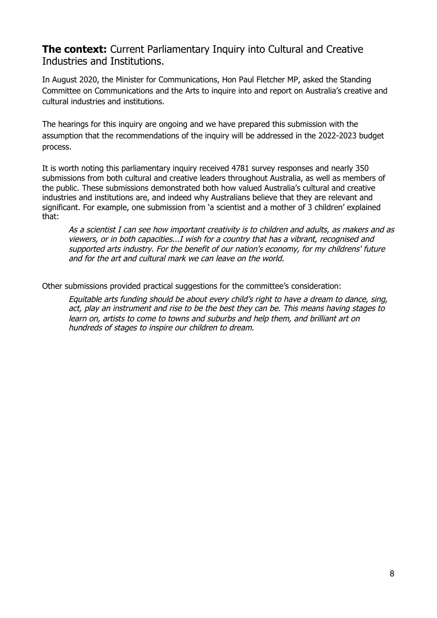## **The context:** Current Parliamentary Inquiry into Cultural and Creative Industries and Institutions.

In August 2020, the Minister for Communications, Hon Paul Fletcher MP, asked the Standing Committee on Communications and the Arts to inquire into and report on Australia's creative and cultural industries and institutions.

The hearings for this inquiry are ongoing and we have prepared this submission with the assumption that the recommendations of the inquiry will be addressed in the 2022-2023 budget process.

It is worth noting this parliamentary inquiry received 4781 survey responses and nearly 350 submissions from both cultural and creative leaders throughout Australia, as well as members of the public. These submissions demonstrated both how valued Australia's cultural and creative industries and institutions are, and indeed why Australians believe that they are relevant and significant. For example, one submission from 'a scientist and a mother of 3 children' explained that:

As <sup>a</sup> scientist I can see how important creativity is to children and adults, as makers and as viewers, or in both capacities...I wish for <sup>a</sup> country that has <sup>a</sup> vibrant, recognised and supported arts industry. For the benefit of our nation's economy, for my childrens' future and for the art and cultural mark we can leave on the world.

Other submissions provided practical suggestions for the committee's consideration:

Equitable arts funding should be about every child's right to have a dream to dance, sing, act, play an instrument and rise to be the best they can be. This means having stages to learn on, artists to come to towns and suburbs and help them, and brilliant art on hundreds of stages to inspire our children to dream.